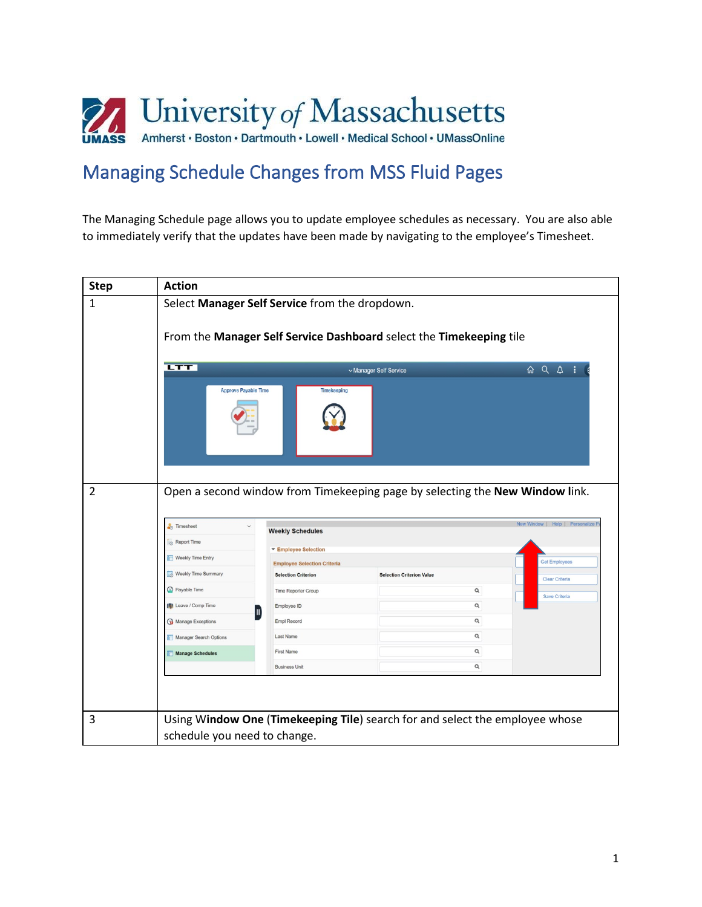

## Managing Schedule Changes from MSS Fluid Pages

The Managing Schedule page allows you to update employee schedules as necessary. You are also able to immediately verify that the updates have been made by navigating to the employee's Timesheet.

| <b>Step</b>    | <b>Action</b>                                  |                                    |                                                                              |                                   |  |  |
|----------------|------------------------------------------------|------------------------------------|------------------------------------------------------------------------------|-----------------------------------|--|--|
| $\mathbf{1}$   | Select Manager Self Service from the dropdown. |                                    |                                                                              |                                   |  |  |
|                |                                                |                                    | From the Manager Self Service Dashboard select the Timekeeping tile          |                                   |  |  |
|                | <b>LTT</b>                                     |                                    | v Manager Self Service                                                       | $QQ$ :                            |  |  |
| $\overline{2}$ | <b>Approve Payable Time</b>                    | <b>Timekeeping</b>                 | Open a second window from Timekeeping page by selecting the New Window link. |                                   |  |  |
|                | <b>Timesheet</b>                               | <b>Weekly Schedules</b>            |                                                                              | New Window   Help   Personalize F |  |  |
|                | Report Time                                    | ▼ Employee Selection               |                                                                              |                                   |  |  |
|                | Weekly Time Entry                              | <b>Employee Selection Criteria</b> |                                                                              | <b>Get Employees</b>              |  |  |
|                | Weekly Time Summary                            | <b>Selection Criterion</b>         | <b>Selection Criterion Value</b>                                             | <b>Clear Criteria</b>             |  |  |
|                | Payable Time                                   | Time Reporter Group                |                                                                              | Q<br>Save Criteria                |  |  |
|                | Leave / Comp Time                              | Employee ID                        |                                                                              | Q                                 |  |  |
|                | Manage Exceptions                              | <b>Empl Record</b>                 | Q                                                                            |                                   |  |  |
|                | Manager Search Options                         | Last Name                          |                                                                              | Q                                 |  |  |
|                | Manage Schedules                               | <b>First Name</b>                  |                                                                              | Q                                 |  |  |
|                |                                                | <b>Business Unit</b>               |                                                                              | Q                                 |  |  |
|                |                                                |                                    |                                                                              |                                   |  |  |
| 3              | schedule you need to change.                   |                                    | Using Window One (Timekeeping Tile) search for and select the employee whose |                                   |  |  |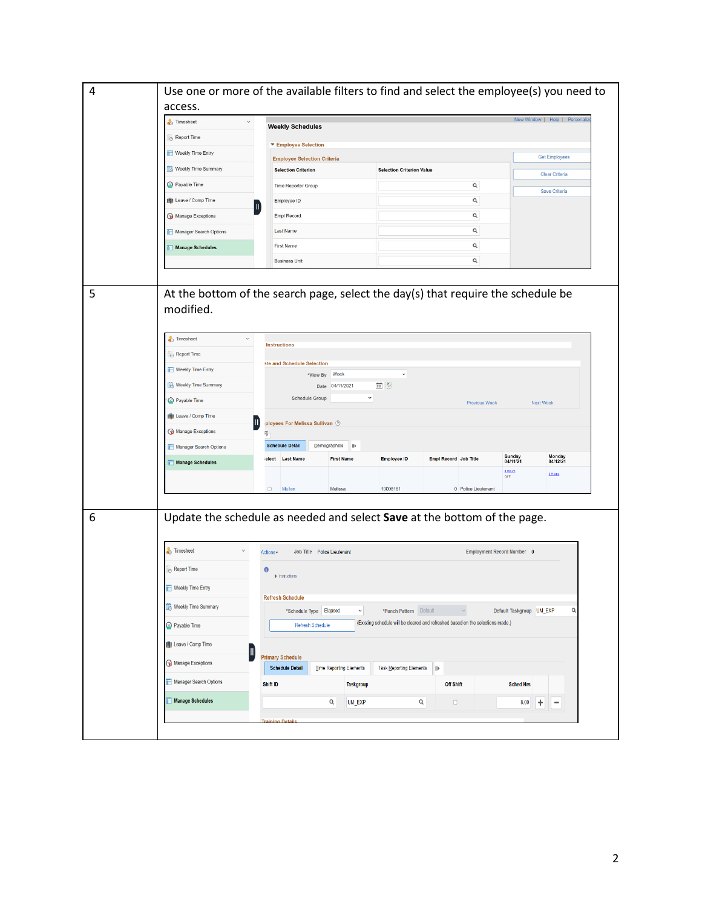| access.                                                                                                                                                                                      |                                                                                                                                                                                                                                                                                                   |                                                                                                        |                                              |                                                                                              |                                                                                                                                                                                                                                                                                                                                                                                                                                                                                                                                            |  |  |  |
|----------------------------------------------------------------------------------------------------------------------------------------------------------------------------------------------|---------------------------------------------------------------------------------------------------------------------------------------------------------------------------------------------------------------------------------------------------------------------------------------------------|--------------------------------------------------------------------------------------------------------|----------------------------------------------|----------------------------------------------------------------------------------------------|--------------------------------------------------------------------------------------------------------------------------------------------------------------------------------------------------------------------------------------------------------------------------------------------------------------------------------------------------------------------------------------------------------------------------------------------------------------------------------------------------------------------------------------------|--|--|--|
| Timesheet<br>$\checkmark$                                                                                                                                                                    |                                                                                                                                                                                                                                                                                                   |                                                                                                        |                                              |                                                                                              |                                                                                                                                                                                                                                                                                                                                                                                                                                                                                                                                            |  |  |  |
| Report Time                                                                                                                                                                                  |                                                                                                                                                                                                                                                                                                   |                                                                                                        |                                              |                                                                                              |                                                                                                                                                                                                                                                                                                                                                                                                                                                                                                                                            |  |  |  |
| Weekly Time Entry                                                                                                                                                                            |                                                                                                                                                                                                                                                                                                   |                                                                                                        |                                              |                                                                                              |                                                                                                                                                                                                                                                                                                                                                                                                                                                                                                                                            |  |  |  |
| <b>Reekly Time Summary</b>                                                                                                                                                                   | <b>Selection Criterion</b>                                                                                                                                                                                                                                                                        |                                                                                                        |                                              |                                                                                              |                                                                                                                                                                                                                                                                                                                                                                                                                                                                                                                                            |  |  |  |
| Payable Time                                                                                                                                                                                 | Time Reporter Group                                                                                                                                                                                                                                                                               |                                                                                                        | Q                                            |                                                                                              |                                                                                                                                                                                                                                                                                                                                                                                                                                                                                                                                            |  |  |  |
| Leave / Comp Time                                                                                                                                                                            | Employee ID                                                                                                                                                                                                                                                                                       |                                                                                                        | Q                                            |                                                                                              |                                                                                                                                                                                                                                                                                                                                                                                                                                                                                                                                            |  |  |  |
| Manage Exceptions                                                                                                                                                                            | <b>Empl Record</b>                                                                                                                                                                                                                                                                                |                                                                                                        | Q                                            |                                                                                              |                                                                                                                                                                                                                                                                                                                                                                                                                                                                                                                                            |  |  |  |
|                                                                                                                                                                                              | Last Name                                                                                                                                                                                                                                                                                         |                                                                                                        | $\mathsf Q$                                  |                                                                                              |                                                                                                                                                                                                                                                                                                                                                                                                                                                                                                                                            |  |  |  |
|                                                                                                                                                                                              | <b>First Name</b>                                                                                                                                                                                                                                                                                 |                                                                                                        | $\alpha$                                     |                                                                                              |                                                                                                                                                                                                                                                                                                                                                                                                                                                                                                                                            |  |  |  |
|                                                                                                                                                                                              | <b>Business Unit</b>                                                                                                                                                                                                                                                                              |                                                                                                        | Q                                            |                                                                                              |                                                                                                                                                                                                                                                                                                                                                                                                                                                                                                                                            |  |  |  |
| Timesheet<br>$\checkmark$<br>Report Time<br>Weekly Time Entry<br>Weekly Time Summary<br>Payable Time<br>Leave / Comp Time<br>Manage Exceptions<br>Manager Search Options<br>Manage Schedules | <b>Instructions</b><br>ate and Schedule Selection<br>*View By Week<br>04/11/2021<br>Date<br><b>Schedule Group</b><br>ployees For Melissa Sullivan $\oslash$<br>霞<br><b>Schedule Detail</b><br>Demographics<br>$\mathbb{P}$<br>elect Last Name<br><b>First Name</b><br>$\Box$<br>Mullen<br>Melissa | $\check{~}$<br>曲の<br>$\checkmark$<br><b>Employee ID</b><br>10008161                                    | Empl Record Job Title<br>0 Police Lieutenant | <b>Next Week</b><br>Sunday<br>04/11/21<br>0 Hours<br><b>OFF</b>                              | Monday<br>04/12/21                                                                                                                                                                                                                                                                                                                                                                                                                                                                                                                         |  |  |  |
| <b>Timesheet</b><br>$\checkmark$<br>Report Time<br>Weekly Time Entry<br>Weekly Time Summary<br><b>Payable Time</b><br>Leave / Comp Time<br>Manage Exceptions<br>Manager Search Options       | Job Title Police Lieutenant<br>Actions-<br>$\bf{0}$<br>$\blacktriangleright$ Instructions<br><b>Refresh Schedule</b><br>*Schedule Type Elapsed<br>$\checkmark$<br><b>Refresh Schedule</b><br><b>Primary Schedule</b><br><b>Schedule Detail</b><br><b>Time Reporting Elements</b>                  | <b>Taskgroup</b>                                                                                       | $\parallel$<br><b>Off Shift</b>              | <b>Sched Hrs</b>                                                                             | Q                                                                                                                                                                                                                                                                                                                                                                                                                                                                                                                                          |  |  |  |
|                                                                                                                                                                                              | Manager Search Options<br>Manage Schedules<br>modified.                                                                                                                                                                                                                                           | <b>Weekly Schedules</b><br>▼ Employee Selection<br><b>Employee Selection Criteria</b><br>Ш<br>Shift ID |                                              | <b>Selection Criterion Value</b><br>*Punch Pattern Default<br><b>Task Reporting Elements</b> | Use one or more of the available filters to find and select the employee(s) you need to<br>New Window   Help   Personali<br><b>Get Employees</b><br>Clear Criteria<br>Save Criteria<br>At the bottom of the search page, select the day(s) that require the schedule be<br><b>Previous Week</b><br><b>8 Hours</b><br>Update the schedule as needed and select Save at the bottom of the page.<br>Employment Record Number 0<br>Default Taskgroup UM_EXP<br>(Existing schedule will be cleared and refreshed based on the selections made.) |  |  |  |